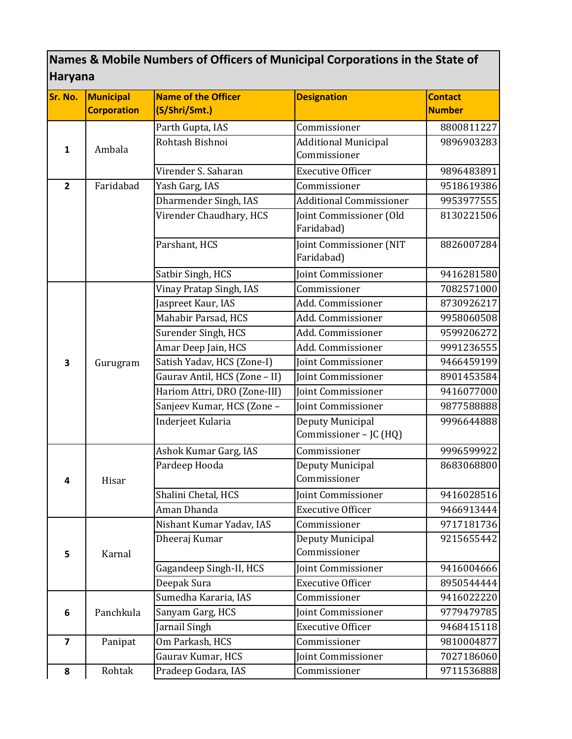| Names & Mobile Numbers of Officers of Municipal Corporations in the State of |
|------------------------------------------------------------------------------|
| <b>Haryana</b>                                                               |

| Sr. No.                 | Municipal          | <b>Name of the Officer</b>    | <b>Designation</b>                    | <b>Contact</b> |
|-------------------------|--------------------|-------------------------------|---------------------------------------|----------------|
|                         | <b>Corporation</b> | (S/Shri/Smt.)                 |                                       | <b>Number</b>  |
|                         |                    | Parth Gupta, IAS              | Commissioner                          | 8800811227     |
| $\mathbf{1}$            | Ambala             | Rohtash Bishnoi               | <b>Additional Municipal</b>           | 9896903283     |
|                         |                    |                               | Commissioner                          |                |
|                         |                    | Virender S. Saharan           | <b>Executive Officer</b>              | 9896483891     |
| $\overline{2}$          | Faridabad          | Yash Garg, IAS                | Commissioner                          | 9518619386     |
|                         |                    | Dharmender Singh, IAS         | <b>Additional Commissioner</b>        | 9953977555     |
|                         |                    | Virender Chaudhary, HCS       | Joint Commissioner (Old<br>Faridabad) | 8130221506     |
|                         |                    | Parshant, HCS                 | Joint Commissioner (NIT<br>Faridabad) | 8826007284     |
|                         |                    | Satbir Singh, HCS             | Joint Commissioner                    | 9416281580     |
|                         |                    | Vinay Pratap Singh, IAS       | Commissioner                          | 7082571000     |
|                         |                    | Jaspreet Kaur, IAS            | Add. Commissioner                     | 8730926217     |
|                         | Gurugram           | Mahabir Parsad, HCS           | Add. Commissioner                     | 9958060508     |
|                         |                    | Surender Singh, HCS           | Add. Commissioner                     | 9599206272     |
|                         |                    | Amar Deep Jain, HCS           | Add. Commissioner                     | 9991236555     |
| 3                       |                    | Satish Yadav, HCS (Zone-I)    | Joint Commissioner                    | 9466459199     |
|                         |                    | Gaurav Antil, HCS (Zone - II) | Joint Commissioner                    | 8901453584     |
|                         |                    | Hariom Attri, DRO (Zone-III)  | Joint Commissioner                    | 9416077000     |
|                         |                    | Sanjeev Kumar, HCS (Zone -    | Joint Commissioner                    | 9877588888     |
|                         |                    | Inderjeet Kularia             | Deputy Municipal                      | 9996644888     |
|                         |                    |                               | Commissioner - JC (HQ)                |                |
|                         |                    | Ashok Kumar Garg, IAS         | Commissioner                          | 9996599922     |
|                         |                    | Pardeep Hooda                 | Deputy Municipal                      | 8683068800     |
| 4                       | Hisar              |                               | Commissioner                          |                |
|                         |                    | Shalini Chetal, HCS           | Joint Commissioner                    | 9416028516     |
|                         |                    | Aman Dhanda                   | Executive Officer                     | 9466913444     |
| 5                       | Karnal             | Nishant Kumar Yadav, IAS      | Commissioner                          | 9717181736     |
|                         |                    | Dheeraj Kumar                 | Deputy Municipal<br>Commissioner      | 9215655442     |
|                         |                    | Gagandeep Singh-II, HCS       | Joint Commissioner                    | 9416004666     |
|                         |                    | Deepak Sura                   | <b>Executive Officer</b>              | 8950544444     |
|                         |                    | Sumedha Kararia, IAS          | Commissioner                          | 9416022220     |
| 6                       | Panchkula          | Sanyam Garg, HCS              | Joint Commissioner                    | 9779479785     |
|                         |                    | Jarnail Singh                 | <b>Executive Officer</b>              | 9468415118     |
| $\overline{\mathbf{z}}$ | Panipat            | Om Parkash, HCS               | Commissioner                          | 9810004877     |
|                         |                    | Gaurav Kumar, HCS             | Joint Commissioner                    | 7027186060     |
| 8                       | Rohtak             | Pradeep Godara, IAS           | Commissioner                          | 9711536888     |